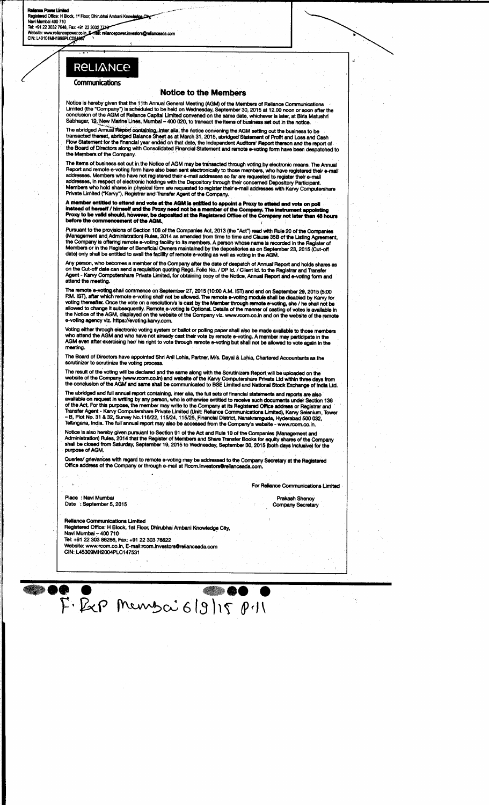# **RELIANCE**

# Communications

## **Notice to the Members**

Notice is hereby given that the 11th Annual General Meeting (AGM) of the Members of Reliance Communications<br>Limited (the "Company") is scheduled to be held on Wednesday, September 30, 2015 at 12.00 noon or soon after the<br>c

The abridged Annual Report containing, inter alia, the notice convening the AGM setting out the business to be<br>transacted thereaf, abridged Balance Sheet as at March 31, 2015, abridged Statement of Profit and Loss and Cash **the Members of the Company.**

The items of business set out in the Notice of AGM may be transacted through voting by electronic means. The Annual<br>Report and remote e-voting form have also been sent electronically to those members, who have registered t

A member entitied to attend and vote at the AGM is entitied to appoint a Proxy to attend and vote on poll<br>instead of herself / himself and the Proxy need not be a member of the Company. The instrument appointing<br>Proxy to b **before the commencement of the AGM.**<br> **before the commencement of the AGM.** 

Pursuant to the provisions of Section 108 of the Companies Act, 2013 (the "Act") read with Rule 20 of the Companies<br>(Management and Administration) Rules, 2014 as amended from time to time and Clause 35B of the Listing Agr

Any person, who becomes a member of the Company after the date of despatch of Annual Report and holds shares as<br>on the Cut-off date can send a requisition quoting Regd. Folio No. / DP Id. / Client Id. to the Registrar and

The remote e-voting shall commence on September 27, 2015 (10:00 A.M. IST) and end on September 29, 2015 (5:00<br>P.M. IST), after which remote e-voting shall not be allowed. The remote e-voting module shall be disabled by Kar

Voting either through electronic voting system or ballot or polling paper shall also be made available to those members<br>who attend the AGM and who have not already cast their vote by remote e-voting. A member may participa

**The Board of Directors have appointed Shri Anil Lohia** , **Partner**, **M/s. Dayal** & Lohia, **Chartered Accountants as the scrutinizer to scrutinize the voting process.**

The result of the voting will be declared and the same along with the Scrutinizers Report will be uploaded on the<br>website of the Company (www.rcom.co.in) and website of the Karvy Computershare Private Ltd within three days

The abridged and full annual report containing, inter alia, the full sets of financial statements and reports are also<br>available on request in writing by any person, who is otherwise entitled to receive such documents unde

Notice is also hereby given pursuant to Section 91 of the Act and Rule 10 of the Companies (Management and<br>Administration) Rules, 2014 that the Register of Members and Share Transfer Books for equity shares of the Company **shall be closed from Saturday**, **September 19, 2015 to Wednesday** , **September 30, 2015** (**both days inclusive**) **for the purpose of AGM.**

**Queries**/ **grievances with regard to remote e-voting may be addressed to the Company Secretary at the Registered Office address of the Company or through e-mail at Rcom** . **lnvestostrelianceadacom.**

**Place : Navi Mumbai Date** ; **September 5, 2015** **For Reliance Communications Limited**

**Prakash Shenoy** Company Secretary

**Reliance Communications Limited Registered Office**: **H Block**, **1st Floor**, **Dhirubhai Ambeni Knowledge City, Navi Mumbai** - 400 710 Tel: +9122 303 **86286**, **Fax: +91 22 303 76622 Website**: **www.rcom**.co.in, E-**mail:rcom**. **InvestorsOrelianceeda.com** CIN: L45309MH2004PLC147531

**OO** ██●● ●  $F·B<sub>c</sub>P$  Menyoi  $6|9|15|P11$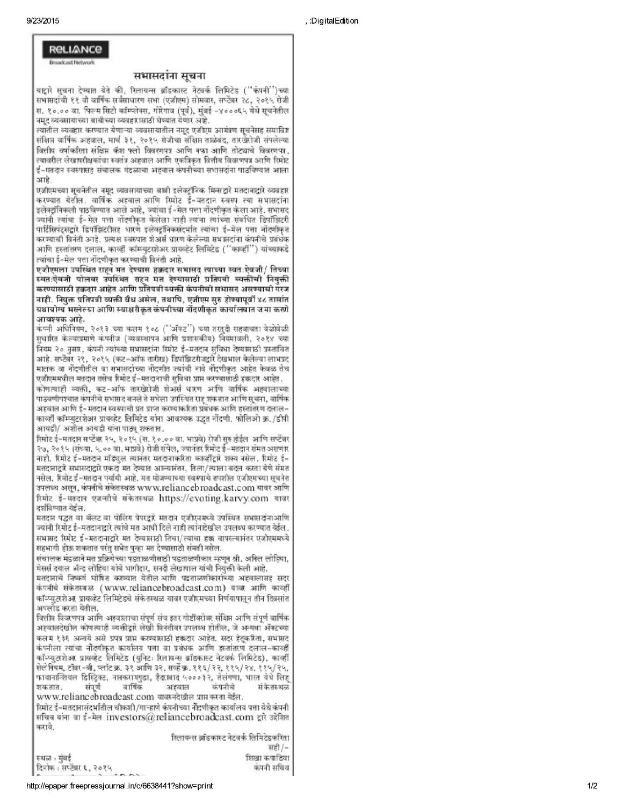**RELIANCE** 

# सभासदांना सचना

यष्टारे सचना देण्यात येते की, रिलायन्स ब्रॉडकास्ट नेटवर्क लिमिटेड ("कंपनी")च्या सभासदांची ११ वी वार्षिक सर्वसाधारण सभा (एजीएम) सोमवार, सप्टेंबर २८, २०१५ रोजी स. १०.०० वा. फिल्म सिटी कॉम्प्लेक्स. गोरेगाव (पूर्व). मुंबई -४०००६५ येथे सूचनेतील नमट व्यवसायाच्या वावीच्या व्यवहारासाठी घेण्यात येणार आहे.

त्यातील व्यवहार करण्यात येणाऱ्या व्यवसायातील नमूद एजीएम आमंत्रण सूचनेसह समाविष्ट संक्षिप्त वार्षिक अहवाल, मार्च ३१, २०१५ रोजीचा संक्षिप्त ताळेबंद, तारखेरोजी संपलेल्या वितीय वर्षाकरिता संक्षिप्त केंश पत्नो विवरणपत्र आणि नफा आणि तोट्याचे विवरणपत्र. त्यावरील लेखापरीक्षकांचा स्वतंत्र आद्याल आणि एकत्रिकत वित्तीय विवरणपत्र आणि स्मिष्ट ई-मतदान स्वरुपासह संचालक मंडळाचा अहवाल कंपनीच्या सभासदांना पाठविण्यात आला आहे.

एजीएमच्या सूचनेतील नमूद व्यवसायाच्या बाबी इलेक्ट्रॉनिक मिन्सद्वारे मतदानाद्वारे व्यवहार करण्यात बेतील. वार्षिक अहवाल आणि रिमोट ई-मतदान स्वरूप त्या सभासदांना इलेक्टॉनिकली पाठविण्यात आले आहे. ज्यांचा ई-मेल पत्ता नोंदणीकृत केला आहे. सभासद ज्यांनी त्यांचा ई-मेल पत्ता नोंदणीकृत केलेला नाही त्यांना त्यांच्या संबंधित डिपॉझिटरी पार्टिसिपंटसद्वारे डिपॉझिटरीसह धारण इलेक्टॉनिकसंदर्भात त्यांचा ई-मेल पत्ता नॉट्यीकृत करण्याची विनंती आहे. प्रत्यक्ष स्वरुपात शेअर्स धारण केलेल्या सभासदांना कंपनीचे प्रबंधक आणि हस्तांतरण दलाल, काव्हीं कॉम्प्यूटरशेअर प्रायव्हेट लिमिटेड ("काव्हीं") यांच्याकडे त्यांचा ई-मेल पत्ता नोंदणीकृत करण्याची विनंती आहे.

एजीएमला उपस्थित राहन मत देण्यास हझदार सभासद त्याच्या स्वतःऐवजी/ तिच्या स्वतःऐवजी पोलवर उपस्थित राहन मत देण्यासाठी प्रतिपत्री व्यक्तीची नियुक्ती करण्यासाठी हक्क्टार आहेत आणि प्रतिपत्री व्यक्ती कंपनीची सभासद असण्याची गरज नाही, नियक्त प्रतिपत्री व्यक्ती येथ असेल, तथापि, एजीएम सरु होण्यापर्यो ४८ तासांत यथायोग्य भरलेल्या आणि स्वाक्षरीकृत कंपनीच्या नोंदणीकृत कार्यालयात जमा करणे आयश्यक आहे.

कंपनी अधिनियम, २०१३ च्या कलम १०८ (''अँकट'') च्या तरतुदी सहवाचता वेळोवेळी सुधारित केल्याप्रमाणे कंपनीज (व्यवस्थापन आणि प्रशासकीय) नियमावली, २०१४ च्या नियम २० नसार, कंपनी त्यांच्या सभासदांना रिमोट ई-मतदान सुविधा देण्यासाठी प्रस्तावित आहे. सप्टेंबर २१, २०१५ (कट-ऑफ तारीख) डिपॉझिटरीज्ट्वारे देखभाल केलेल्या लाभप्रद मालक वा नोंदणीतील वा सभासदांच्या नोंदणीत ज्यांची नावे नोंदणीकृत आहेत केवळ तेच एजीएममधील मतदान तसेच रिमोट ई-मतदानाची सुविधा प्राप्त करण्यासाठी हकदार आहेत.

कोगत्याही व्यक्ती, कट-ऑफ तारखेरोजी शेअर्स धारण आणि वार्षिक अहवालाच्या पाठवणीपश्चात कंपनीचे सभासद बनले ते सभेला उपस्थित राह शकतात आणि सूचना, वार्षिक अहबाल आणि ई-मतदान स्वरुपाची प्रत प्राप्त करण्याकरिता प्रबंधक आणि हस्तांतरण दलाल-काव्हीं कॉम्प्यूटरशेअर प्रायव्हेट लिमिटेड यांना आवश्यक उद्धृत नोंदणी. फोलिओ क्र./डीपी आयडी/ अशील आयडी यांना पाठ्य शफतात.

रिमोट ई-मतदान सप्टेंबर २५, २०१५ (स. १०.०० वा. भाप्रवे) रोजी सुरु होईल आणि सप्टेंबर २७, २०१५ (संध्या. ५.०० वा. भाष्पवे) रोजी संपेल, ज्यानंतर रिमोट ई-मतदान संमत असणार नाही. रिमोट ई-मतदान मॉड्युल त्यानंतर मतदानाकरिता काव्हींद्वारे शक्य नसेल. रिमोट ई-मतदानाद्वारे सभासदाद्वारे एकदा मत देण्यात आल्यानंतर, तिला/त्याला अदल करता येणे संमत नसेल. रिमोट ई-मतदान पर्यायी आहे. मत मोजण्याच्या स्वरुपाचे तपशील एजीएमच्या सुचनेत उपलब्ध असून, कंपनीचे संकेतस्थळ www.reliancebroadcast.com यावर आणि रिमोट ई-मतदान एजन्सीचे संकेतस्थळ https://evoting.karvy.com यावर टर्शविण्यात येईल.

मतदान पद्धत वा बॅलट वा पोलिंग पेपरद्वारे मतदान एजीएममध्ये उपस्थित सभासदांनाआणि ज्यांनी रिमोट ई-मतदानाद्वारे त्यांचे मत आधी दिले नाही त्यांनादेखील उपलब्ध करण्यात येईल. सभासद रिमोट ई-मतदानाद्वारे मत देण्यासाठी तिचा/त्याचा हक वापरल्यानंतर एजीएममध्ये सहभागी होऊ शकतात परंतु सभेत पुन्हा मत देण्यासाठी संमती नसेल.

संचालक मंडळाने मत प्रक्रियेच्या पडताळणीसाठी पडताळणीकार म्हणून श्री. अनिल लोहिया, मेसर्स दयाल ॲन्ड लोहिया यांचे भागीदार, सनदी लेखापाल यांची नियुक्ती केली आहे.

मतदानाचे निष्कर्ष घोषित करण्यात येतील आणि पडताळणीकारांच्या अहवालासह सदर कंपनीचे संकेतस्थळ (www.reliancebroadcast.com) यावर आणि काव्हीं कॉम्प्युटरशेअर प्रायव्हेट लिमिटेडचे संकेतस्थळ यावर एजीएमच्या निर्णयापासून तीन दिवसांत अपलोड करता येतील.

वितीय विवरणपत्र आणि अहवालाचा संपूर्ण संच इतर गोष्टींवरोवर संक्षिप्त आणि संपूर्ण वार्षिक अहबालदेखील कोगत्याही व्यक्तीद्वारे लेखी विनंतीवर उपलब्ध होतील, जे अन्यथा ॲक्टच्या कलम १३६ अन्वये असे प्रपत्र प्राप्त करण्यासाठी हकदार आहेत. सदर हेतूकारैता, सभासद कंपनीला त्यांचा नोंदणीकृत कार्यालय पत्ता वा प्रकारक आणि इस्तांतरण दलाल-कार्ब्सी कॉम्प्युटरशेअर प्रायव्हेट लिमिटेड (युनिट: रिलायन्स ब्रॉडकास्ट नेटवर्क लिमिटेड), काव्हीं सेलेनियम, टॉबर-बी, प्लॉट क्र. ३१ आणि ३२, सर्व्हे क्र. ११६/२२, ११५/२४, ११५/२५, फायानन्शियल डिस्ट्रिक्ट, नानकरामगुडा, हैदराबाद ५०००३२, तेलंगणा, भारत येथे लिह वार्षिक कंपनीचे शकतात. संपूर्ण अहबाल संकेतस्थळ www.reliancebroadcast.com यावरुनदेखील प्राप्त करता येईल.

रिमोट ई-मतटानासंटर्भातील चौकशी/गाऱ्हाणे कंपनीच्या नोटणीकत कार्यालय पत्ता येथे कंपनी सचिव यांना वा ई-मेल investors@reliancebroadcast.com द्वारे उद्देशित करावे.

रिलायन्स ऑडकास्ट नेटवर्क लिमिटेडकरिता सही $/-$ शिखा कपाडिया दिनांक: सप्टेंबर ६, २०१५ कंपनी सचिव  $500$ 

स्थळ: मुंबई